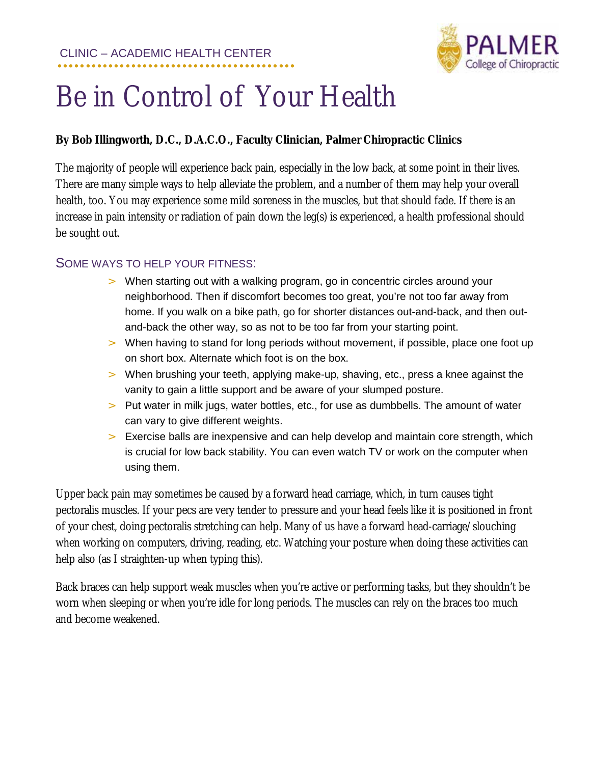

## Be in Control of Your Health

## **By Bob Illingworth, D.C., D.A.C.O., Faculty Clinician, Palmer Chiropractic Clinics**

The majority of people will experience back pain, especially in the low back, at some point in their lives. There are many simple ways to help alleviate the problem, and a number of them may help your overall health, too. You may experience some mild soreness in the muscles, but that should fade. If there is an increase in pain intensity or radiation of pain down the leg(s) is experienced, a health professional should be sought out.

## SOME WAYS TO HELP YOUR FITNESS:

- > When starting out with a walking program, go in concentric circles around your neighborhood. Then if discomfort becomes too great, you're not too far away from home. If you walk on a bike path, go for shorter distances out-and-back, and then outand-back the other way, so as not to be too far from your starting point.
- > When having to stand for long periods without movement, if possible, place one foot up on short box. Alternate which foot is on the box.
- > When brushing your teeth, applying make-up, shaving, etc., press a knee against the vanity to gain a little support and be aware of your slumped posture.
- > Put water in milk jugs, water bottles, etc., for use as dumbbells. The amount of water can vary to give different weights.
- > Exercise balls are inexpensive and can help develop and maintain core strength, which is crucial for low back stability. You can even watch TV or work on the computer when using them.

Upper back pain may sometimes be caused by a forward head carriage, which, in turn causes tight pectoralis muscles. If your pecs are very tender to pressure and your head feels like it is positioned in front of your chest, doing pectoralis stretching can help. Many of us have a forward head-carriage/slouching when working on computers, driving, reading, etc. Watching your posture when doing these activities can help also (as I straighten-up when typing this).

Back braces can help support weak muscles when you're active or performing tasks, but they shouldn't be worn when sleeping or when you're idle for long periods. The muscles can rely on the braces too much and become weakened.